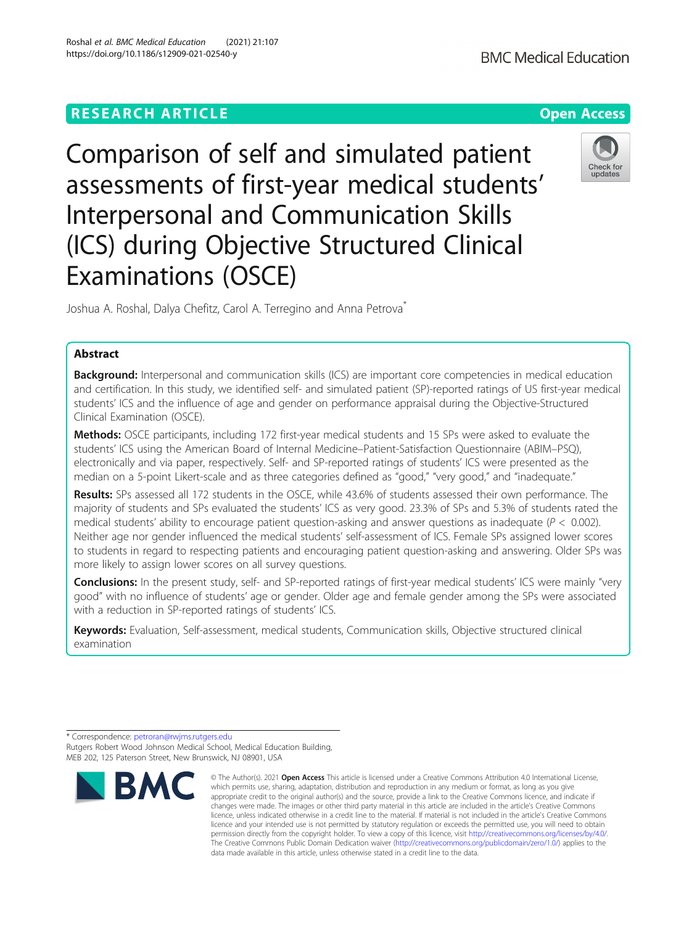# **RESEARCH ARTICLE Example 2014 12:30 The Contract of Contract ACCESS**

Comparison of self and simulated patient assessments of first-year medical students' Interpersonal and Communication Skills (ICS) during Objective Structured Clinical Examinations (OSCE)

Joshua A. Roshal, Dalya Chefitz, Carol A. Terregino and Anna Petrova<sup>\*</sup>

# Abstract

**Background:** Interpersonal and communication skills (ICS) are important core competencies in medical education and certification. In this study, we identified self- and simulated patient (SP)-reported ratings of US first-year medical students' ICS and the influence of age and gender on performance appraisal during the Objective-Structured Clinical Examination (OSCE).

Methods: OSCE participants, including 172 first-year medical students and 15 SPs were asked to evaluate the students' ICS using the American Board of Internal Medicine–Patient-Satisfaction Questionnaire (ABIM–PSQ), electronically and via paper, respectively. Self- and SP-reported ratings of students' ICS were presented as the median on a 5-point Likert-scale and as three categories defined as "good," "very good," and "inadequate."

Results: SPs assessed all 172 students in the OSCE, while 43.6% of students assessed their own performance. The majority of students and SPs evaluated the students' ICS as very good. 23.3% of SPs and 5.3% of students rated the medical students' ability to encourage patient question-asking and answer questions as inadequate ( $P < 0.002$ ). Neither age nor gender influenced the medical students' self-assessment of ICS. Female SPs assigned lower scores to students in regard to respecting patients and encouraging patient question-asking and answering. Older SPs was more likely to assign lower scores on all survey questions.

Conclusions: In the present study, self- and SP-reported ratings of first-year medical students' ICS were mainly "very good" with no influence of students' age or gender. Older age and female gender among the SPs were associated with a reduction in SP-reported ratings of students' ICS.

Keywords: Evaluation, Self-assessment, medical students, Communication skills, Objective structured clinical examination

data made available in this article, unless otherwise stated in a credit line to the data.

The Creative Commons Public Domain Dedication waiver [\(http://creativecommons.org/publicdomain/zero/1.0/](http://creativecommons.org/publicdomain/zero/1.0/)) applies to the







<sup>\*</sup> Correspondence: [petroran@rwjms.rutgers.edu](mailto:petroran@rwjms.rutgers.edu) Rutgers Robert Wood Johnson Medical School, Medical Education Building, MEB 202, 125 Paterson Street, New Brunswick, NJ 08901, USA

<sup>©</sup> The Author(s), 2021 **Open Access** This article is licensed under a Creative Commons Attribution 4.0 International License, **BMC** which permits use, sharing, adaptation, distribution and reproduction in any medium or format, as long as you give appropriate credit to the original author(s) and the source, provide a link to the Creative Commons licence, and indicate if changes were made. The images or other third party material in this article are included in the article's Creative Commons licence, unless indicated otherwise in a credit line to the material. If material is not included in the article's Creative Commons licence and your intended use is not permitted by statutory regulation or exceeds the permitted use, you will need to obtain permission directly from the copyright holder. To view a copy of this licence, visit [http://creativecommons.org/licenses/by/4.0/.](http://creativecommons.org/licenses/by/4.0/)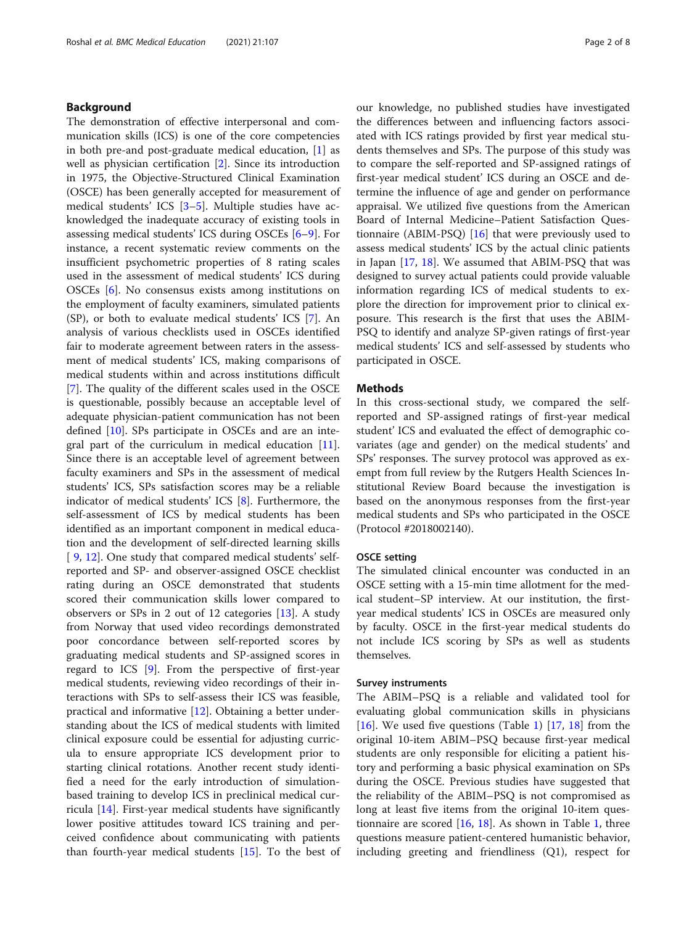# Background

The demonstration of effective interpersonal and communication skills (ICS) is one of the core competencies in both pre-and post-graduate medical education, [[1\]](#page-6-0) as well as physician certification [\[2](#page-6-0)]. Since its introduction in 1975, the Objective-Structured Clinical Examination (OSCE) has been generally accepted for measurement of medical students' ICS [[3](#page-6-0)–[5](#page-6-0)]. Multiple studies have acknowledged the inadequate accuracy of existing tools in assessing medical students' ICS during OSCEs [[6](#page-6-0)–[9](#page-6-0)]. For instance, a recent systematic review comments on the insufficient psychometric properties of 8 rating scales used in the assessment of medical students' ICS during OSCEs [[6\]](#page-6-0). No consensus exists among institutions on the employment of faculty examiners, simulated patients (SP), or both to evaluate medical students' ICS [[7\]](#page-6-0). An analysis of various checklists used in OSCEs identified fair to moderate agreement between raters in the assessment of medical students' ICS, making comparisons of medical students within and across institutions difficult [[7\]](#page-6-0). The quality of the different scales used in the OSCE is questionable, possibly because an acceptable level of adequate physician-patient communication has not been defined [[10\]](#page-6-0). SPs participate in OSCEs and are an integral part of the curriculum in medical education [\[11](#page-6-0)]. Since there is an acceptable level of agreement between faculty examiners and SPs in the assessment of medical students' ICS, SPs satisfaction scores may be a reliable indicator of medical students' ICS [[8\]](#page-6-0). Furthermore, the self-assessment of ICS by medical students has been identified as an important component in medical education and the development of self-directed learning skills [ [9,](#page-6-0) [12\]](#page-6-0). One study that compared medical students' selfreported and SP- and observer-assigned OSCE checklist rating during an OSCE demonstrated that students scored their communication skills lower compared to observers or SPs in 2 out of 12 categories [\[13](#page-6-0)]. A study from Norway that used video recordings demonstrated poor concordance between self-reported scores by graduating medical students and SP-assigned scores in regard to ICS [\[9](#page-6-0)]. From the perspective of first-year medical students, reviewing video recordings of their interactions with SPs to self-assess their ICS was feasible, practical and informative [[12\]](#page-6-0). Obtaining a better understanding about the ICS of medical students with limited clinical exposure could be essential for adjusting curricula to ensure appropriate ICS development prior to starting clinical rotations. Another recent study identified a need for the early introduction of simulationbased training to develop ICS in preclinical medical curricula [\[14\]](#page-6-0). First-year medical students have significantly lower positive attitudes toward ICS training and perceived confidence about communicating with patients than fourth-year medical students  $[15]$  $[15]$ . To the best of our knowledge, no published studies have investigated the differences between and influencing factors associated with ICS ratings provided by first year medical students themselves and SPs. The purpose of this study was to compare the self-reported and SP-assigned ratings of first-year medical student' ICS during an OSCE and determine the influence of age and gender on performance appraisal. We utilized five questions from the American Board of Internal Medicine–Patient Satisfaction Questionnaire (ABIM-PSQ) [[16](#page-6-0)] that were previously used to assess medical students' ICS by the actual clinic patients in Japan [[17,](#page-6-0) [18](#page-6-0)]. We assumed that ABIM-PSQ that was designed to survey actual patients could provide valuable information regarding ICS of medical students to explore the direction for improvement prior to clinical exposure. This research is the first that uses the ABIM-PSQ to identify and analyze SP-given ratings of first-year medical students' ICS and self-assessed by students who participated in OSCE.

# **Methods**

In this cross-sectional study, we compared the selfreported and SP-assigned ratings of first-year medical student' ICS and evaluated the effect of demographic covariates (age and gender) on the medical students' and SPs' responses. The survey protocol was approved as exempt from full review by the Rutgers Health Sciences Institutional Review Board because the investigation is based on the anonymous responses from the first-year medical students and SPs who participated in the OSCE (Protocol #2018002140).

### OSCE setting

The simulated clinical encounter was conducted in an OSCE setting with a 15-min time allotment for the medical student–SP interview. At our institution, the firstyear medical students' ICS in OSCEs are measured only by faculty. OSCE in the first-year medical students do not include ICS scoring by SPs as well as students themselves.

# Survey instruments

The ABIM–PSQ is a reliable and validated tool for evaluating global communication skills in physicians [[16\]](#page-6-0). We used five questions (Table [1\)](#page-2-0) [[17](#page-6-0), [18\]](#page-6-0) from the original 10-item ABIM–PSQ because first-year medical students are only responsible for eliciting a patient history and performing a basic physical examination on SPs during the OSCE. Previous studies have suggested that the reliability of the ABIM–PSQ is not compromised as long at least five items from the original 10-item questionnaire are scored [\[16,](#page-6-0) [18](#page-6-0)]. As shown in Table [1](#page-2-0), three questions measure patient-centered humanistic behavior, including greeting and friendliness (Q1), respect for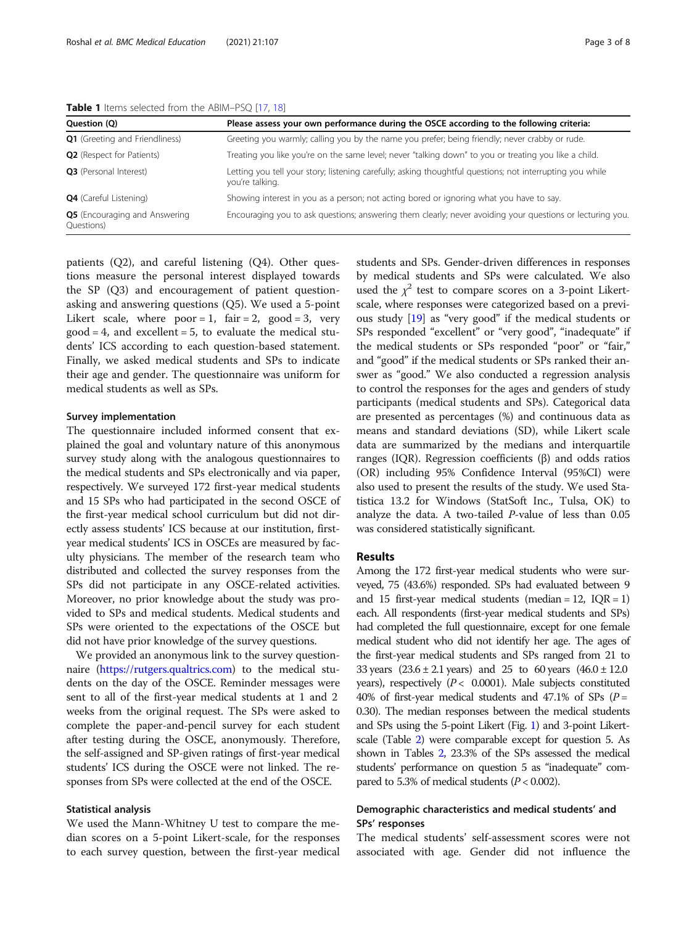| <b>TUDIE I</b> REINS SCIECED HOTH LIK ADMITTED Q   17, TOT |                                                                                                                              |  |  |
|------------------------------------------------------------|------------------------------------------------------------------------------------------------------------------------------|--|--|
| Question (Q)                                               | Please assess your own performance during the OSCE according to the following criteria:                                      |  |  |
| <b>Q1</b> (Greeting and Friendliness)                      | Greeting you warmly; calling you by the name you prefer; being friendly; never crabby or rude.                               |  |  |
| <b>Q2</b> (Respect for Patients)                           | Treating you like you're on the same level; never "talking down" to you or treating you like a child.                        |  |  |
| Q3 (Personal Interest)                                     | Letting you tell your story; listening carefully; asking thoughtful questions; not interrupting you while<br>you're talking. |  |  |
| <b>Q4</b> (Careful Listening)                              | Showing interest in you as a person; not acting bored or ignoring what you have to say.                                      |  |  |
| <b>Q5</b> (Encouraging and Answering<br>Questions)         | Encouraging you to ask questions; answering them clearly; never avoiding your questions or lecturing you.                    |  |  |

<span id="page-2-0"></span>Table 1 Items selected from the ARIM–PSQ [\[17](#page-6-0), [18\]](#page-6-0)

patients (Q2), and careful listening (Q4). Other questions measure the personal interest displayed towards the SP (Q3) and encouragement of patient questionasking and answering questions (Q5). We used a 5-point Likert scale, where  $poor = 1$ , fair = 2,  $good = 3$ , very  $good = 4$ , and excellent = 5, to evaluate the medical students' ICS according to each question-based statement. Finally, we asked medical students and SPs to indicate their age and gender. The questionnaire was uniform for medical students as well as SPs.

# Survey implementation

The questionnaire included informed consent that explained the goal and voluntary nature of this anonymous survey study along with the analogous questionnaires to the medical students and SPs electronically and via paper, respectively. We surveyed 172 first-year medical students and 15 SPs who had participated in the second OSCE of the first-year medical school curriculum but did not directly assess students' ICS because at our institution, firstyear medical students' ICS in OSCEs are measured by faculty physicians. The member of the research team who distributed and collected the survey responses from the SPs did not participate in any OSCE-related activities. Moreover, no prior knowledge about the study was provided to SPs and medical students. Medical students and SPs were oriented to the expectations of the OSCE but did not have prior knowledge of the survey questions.

We provided an anonymous link to the survey questionnaire [\(https://rutgers.qualtrics.com](https://rutgers.qualtrics.com)) to the medical students on the day of the OSCE. Reminder messages were sent to all of the first-year medical students at 1 and 2 weeks from the original request. The SPs were asked to complete the paper-and-pencil survey for each student after testing during the OSCE, anonymously. Therefore, the self-assigned and SP-given ratings of first-year medical students' ICS during the OSCE were not linked. The responses from SPs were collected at the end of the OSCE.

# Statistical analysis

We used the Mann-Whitney U test to compare the median scores on a 5-point Likert-scale, for the responses to each survey question, between the first-year medical students and SPs. Gender-driven differences in responses by medical students and SPs were calculated. We also used the  $\chi^2$  test to compare scores on a 3-point Likertscale, where responses were categorized based on a previous study [\[19\]](#page-6-0) as "very good" if the medical students or SPs responded "excellent" or "very good", "inadequate" if the medical students or SPs responded "poor" or "fair," and "good" if the medical students or SPs ranked their answer as "good." We also conducted a regression analysis to control the responses for the ages and genders of study participants (medical students and SPs). Categorical data are presented as percentages (%) and continuous data as means and standard deviations (SD), while Likert scale data are summarized by the medians and interquartile ranges (IQR). Regression coefficients (β) and odds ratios (OR) including 95% Confidence Interval (95%CI) were also used to present the results of the study. We used Statistica 13.2 for Windows (StatSoft Inc., Tulsa, OK) to analyze the data. A two-tailed P-value of less than 0.05 was considered statistically significant.

### Results

Among the 172 first-year medical students who were surveyed, 75 (43.6%) responded. SPs had evaluated between 9 and 15 first-year medical students (median = 12,  $IQR = 1$ ) each. All respondents (first-year medical students and SPs) had completed the full questionnaire, except for one female medical student who did not identify her age. The ages of the first-year medical students and SPs ranged from 21 to 33 years  $(23.6 \pm 2.1 \text{ years})$  and 25 to 60 years  $(46.0 \pm 12.0 \text{ years})$ years), respectively  $(P < 0.0001)$ . Male subjects constituted 40% of first-year medical students and 47.1% of SPs ( $P =$ 0.30). The median responses between the medical students and SPs using the 5-point Likert (Fig. [1](#page-3-0)) and 3-point Likertscale (Table [2\)](#page-3-0) were comparable except for question 5. As shown in Tables [2](#page-3-0), 23.3% of the SPs assessed the medical students' performance on question 5 as "inadequate" compared to 5.3% of medical students ( $P < 0.002$ ).

# Demographic characteristics and medical students' and SPs' responses

The medical students' self-assessment scores were not associated with age. Gender did not influence the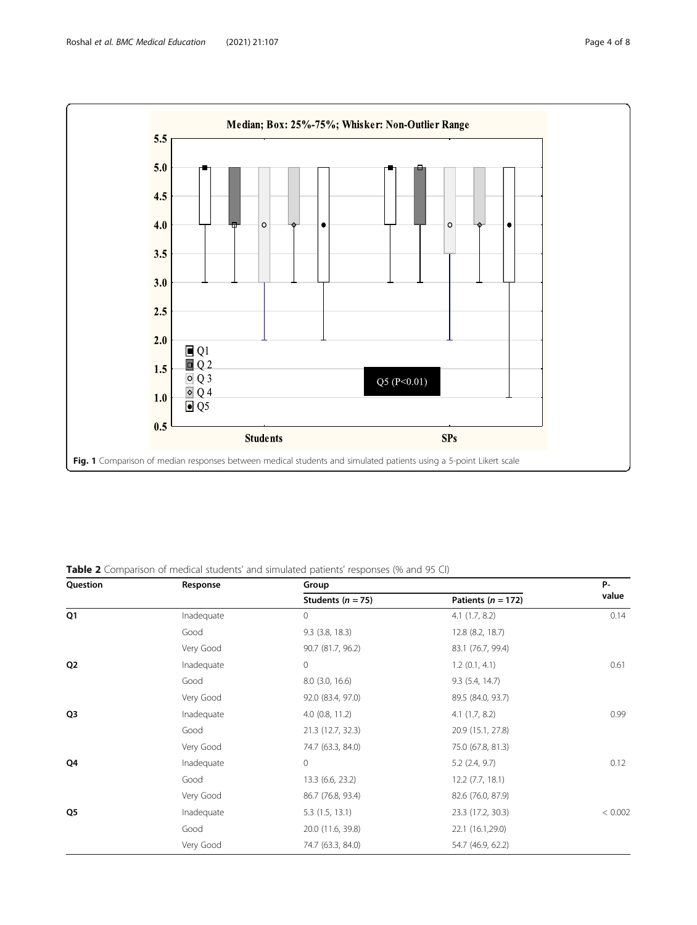<span id="page-3-0"></span>

# Table 2 Comparison of medical students' and simulated patients' responses (% and 95 CI)

| Question       | Response   | Group                 |                        | <b>P-</b> |
|----------------|------------|-----------------------|------------------------|-----------|
|                |            | Students ( $n = 75$ ) | Patients ( $n = 172$ ) | value     |
| Q <sub>1</sub> | Inadequate | $\circ$               | 4.1(1.7, 8.2)          | 0.14      |
|                | Good       | $9.3$ $(3.8, 18.3)$   | 12.8 (8.2, 18.7)       |           |
|                | Very Good  | 90.7 (81.7, 96.2)     | 83.1 (76.7, 99.4)      |           |
| Q <sub>2</sub> | Inadequate | $\mathbf{0}$          | 1.2(0.1, 4.1)          | 0.61      |
|                | Good       | $8.0$ (3.0, 16.6)     | 9.3(5.4, 14.7)         |           |
|                | Very Good  | 92.0 (83.4, 97.0)     | 89.5 (84.0, 93.7)      |           |
| Q3             | Inadequate | $4.0$ (0.8, 11.2)     | $4.1$ $(1.7, 8.2)$     | 0.99      |
|                | Good       | 21.3 (12.7, 32.3)     | 20.9 (15.1, 27.8)      |           |
|                | Very Good  | 74.7 (63.3, 84.0)     | 75.0 (67.8, 81.3)      |           |
| Q4             | Inadequate | $\circ$               | $5.2$ (2.4, 9.7)       | 0.12      |
|                | Good       | 13.3 (6.6, 23.2)      | $12.2$ (7.7, 18.1)     |           |
|                | Very Good  | 86.7 (76.8, 93.4)     | 82.6 (76.0, 87.9)      |           |
| Q <sub>5</sub> | Inadequate | 5.3(1.5, 13.1)        | 23.3 (17.2, 30.3)      | < 0.002   |
|                | Good       | 20.0 (11.6, 39.8)     | 22.1 (16.1,29.0)       |           |
|                | Very Good  | 74.7 (63.3, 84.0)     | 54.7 (46.9, 62.2)      |           |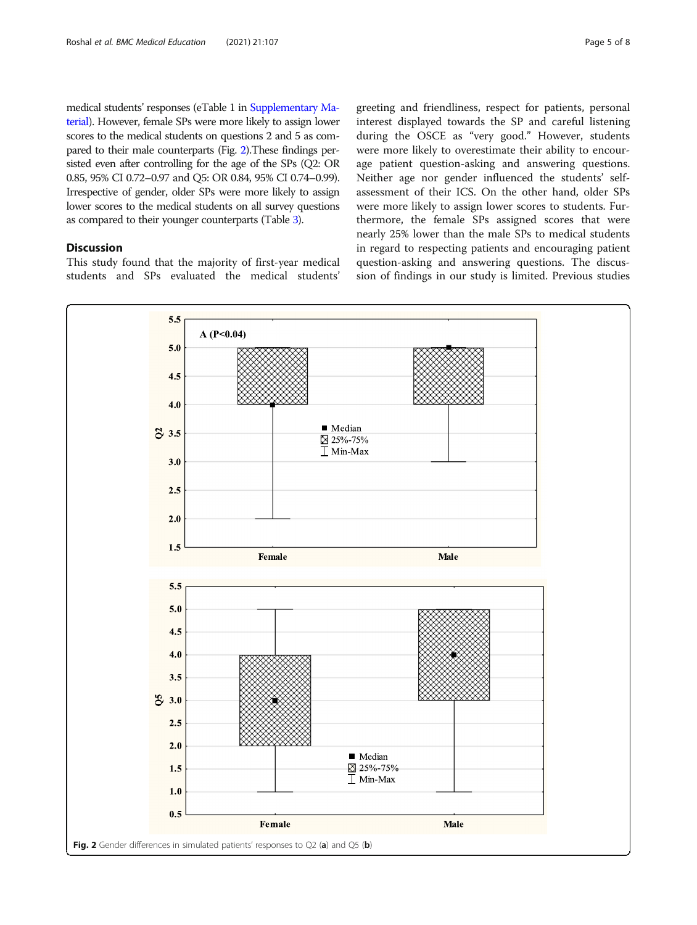medical students' responses (eTable 1 in [Supplementary Ma](#page-6-0)[terial\)](#page-6-0). However, female SPs were more likely to assign lower scores to the medical students on questions 2 and 5 as compared to their male counterparts (Fig. 2).These findings persisted even after controlling for the age of the SPs (Q2: OR 0.85, 95% CI 0.72–0.97 and Q5: OR 0.84, 95% CI 0.74–0.99). Irrespective of gender, older SPs were more likely to assign lower scores to the medical students on all survey questions as compared to their younger counterparts (Table [3\)](#page-5-0).

# **Discussion**

This study found that the majority of first-year medical students and SPs evaluated the medical students' greeting and friendliness, respect for patients, personal interest displayed towards the SP and careful listening during the OSCE as "very good." However, students were more likely to overestimate their ability to encourage patient question-asking and answering questions. Neither age nor gender influenced the students' selfassessment of their ICS. On the other hand, older SPs were more likely to assign lower scores to students. Furthermore, the female SPs assigned scores that were nearly 25% lower than the male SPs to medical students in regard to respecting patients and encouraging patient question-asking and answering questions. The discussion of findings in our study is limited. Previous studies

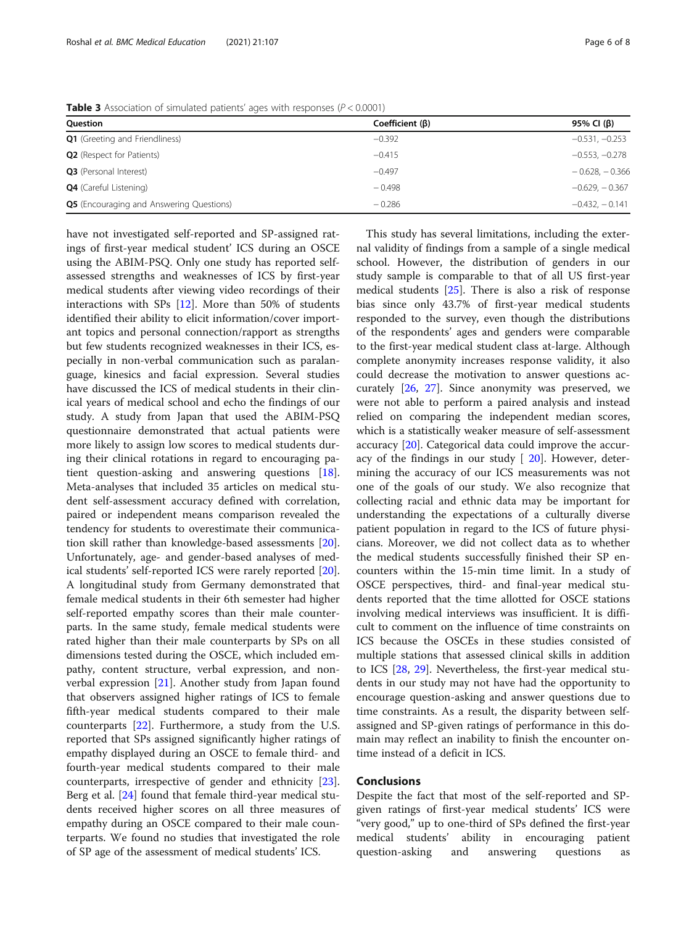have not investigated self-reported and SP-assigned ratings of first-year medical student' ICS during an OSCE using the ABIM-PSQ. Only one study has reported selfassessed strengths and weaknesses of ICS by first-year medical students after viewing video recordings of their interactions with SPs [[12](#page-6-0)]. More than 50% of students identified their ability to elicit information/cover important topics and personal connection/rapport as strengths but few students recognized weaknesses in their ICS, especially in non-verbal communication such as paralanguage, kinesics and facial expression. Several studies have discussed the ICS of medical students in their clinical years of medical school and echo the findings of our study. A study from Japan that used the ABIM-PSQ questionnaire demonstrated that actual patients were more likely to assign low scores to medical students during their clinical rotations in regard to encouraging patient question-asking and answering questions [\[18](#page-6-0)]. Meta-analyses that included 35 articles on medical student self-assessment accuracy defined with correlation, paired or independent means comparison revealed the tendency for students to overestimate their communication skill rather than knowledge-based assessments [\[20](#page-6-0)]. Unfortunately, age- and gender-based analyses of medical students' self-reported ICS were rarely reported [\[20](#page-6-0)]. A longitudinal study from Germany demonstrated that female medical students in their 6th semester had higher self-reported empathy scores than their male counterparts. In the same study, female medical students were rated higher than their male counterparts by SPs on all dimensions tested during the OSCE, which included empathy, content structure, verbal expression, and nonverbal expression [[21\]](#page-6-0). Another study from Japan found that observers assigned higher ratings of ICS to female fifth-year medical students compared to their male counterparts [[22](#page-6-0)]. Furthermore, a study from the U.S. reported that SPs assigned significantly higher ratings of empathy displayed during an OSCE to female third- and fourth-year medical students compared to their male counterparts, irrespective of gender and ethnicity [\[23](#page-7-0)]. Berg et al. [\[24](#page-7-0)] found that female third-year medical students received higher scores on all three measures of empathy during an OSCE compared to their male counterparts. We found no studies that investigated the role of SP age of the assessment of medical students' ICS.

This study has several limitations, including the external validity of findings from a sample of a single medical school. However, the distribution of genders in our study sample is comparable to that of all US first-year medical students [[25\]](#page-7-0). There is also a risk of response bias since only 43.7% of first-year medical students responded to the survey, even though the distributions of the respondents' ages and genders were comparable to the first-year medical student class at-large. Although complete anonymity increases response validity, it also could decrease the motivation to answer questions accurately [[26,](#page-7-0) [27](#page-7-0)]. Since anonymity was preserved, we were not able to perform a paired analysis and instead relied on comparing the independent median scores, which is a statistically weaker measure of self-assessment accuracy [\[20](#page-6-0)]. Categorical data could improve the accuracy of the findings in our study  $[20]$  $[20]$ . However, determining the accuracy of our ICS measurements was not one of the goals of our study. We also recognize that collecting racial and ethnic data may be important for understanding the expectations of a culturally diverse patient population in regard to the ICS of future physicians. Moreover, we did not collect data as to whether the medical students successfully finished their SP encounters within the 15-min time limit. In a study of OSCE perspectives, third- and final-year medical students reported that the time allotted for OSCE stations involving medical interviews was insufficient. It is difficult to comment on the influence of time constraints on ICS because the OSCEs in these studies consisted of multiple stations that assessed clinical skills in addition to ICS [\[28](#page-7-0), [29\]](#page-7-0). Nevertheless, the first-year medical students in our study may not have had the opportunity to encourage question-asking and answer questions due to time constraints. As a result, the disparity between selfassigned and SP-given ratings of performance in this domain may reflect an inability to finish the encounter ontime instead of a deficit in ICS.

### Conclusions

Despite the fact that most of the self-reported and SPgiven ratings of first-year medical students' ICS were "very good," up to one-third of SPs defined the first-year medical students' ability in encouraging patient question-asking and answering questions as

**Table 3** Association of simulated patients' ages with responses ( $P < 0.0001$ )

| Question                                        | Coefficient $(\beta)$ | 95% CI (β)       |
|-------------------------------------------------|-----------------------|------------------|
| <b>Q1</b> (Greeting and Friendliness)           | $-0.392$              | $-0.531, -0.253$ |
| <b>Q2</b> (Respect for Patients)                | $-0.415$              | $-0.553, -0.278$ |
| Q3 (Personal Interest)                          | $-0.497$              | $-0.628, -0.366$ |
| <b>Q4</b> (Careful Listening)                   | $-0.498$              | $-0.629. -0.367$ |
| <b>Q5</b> (Encouraging and Answering Questions) | $-0.286$              | $-0.432. -0.141$ |

<span id="page-5-0"></span>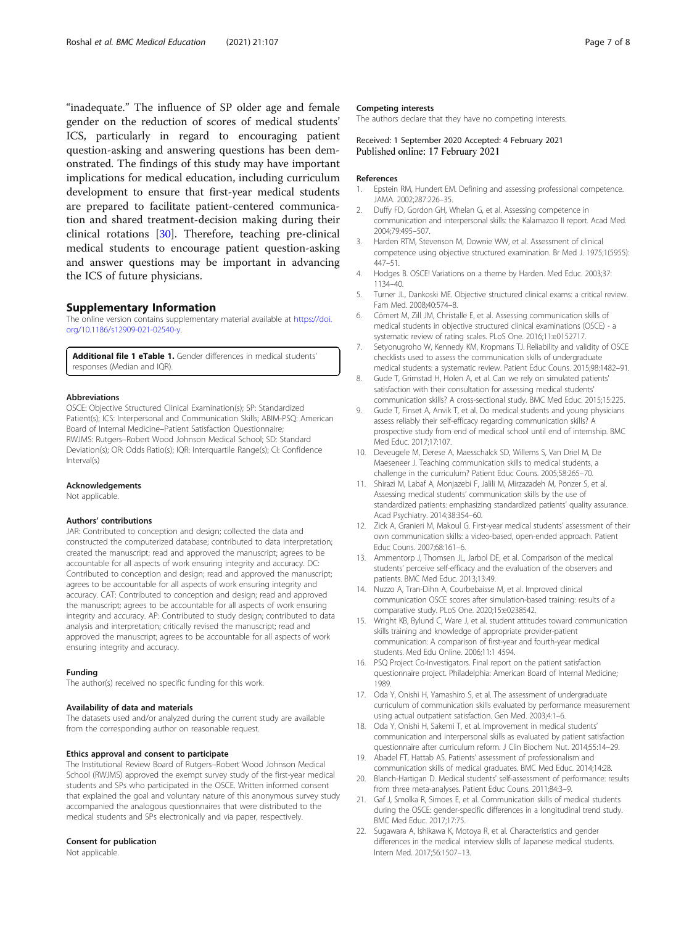<span id="page-6-0"></span>"inadequate." The influence of SP older age and female gender on the reduction of scores of medical students' ICS, particularly in regard to encouraging patient question-asking and answering questions has been demonstrated. The findings of this study may have important implications for medical education, including curriculum development to ensure that first-year medical students are prepared to facilitate patient-centered communication and shared treatment-decision making during their clinical rotations [\[30\]](#page-7-0). Therefore, teaching pre-clinical medical students to encourage patient question-asking and answer questions may be important in advancing the ICS of future physicians.

#### Supplementary Information

The online version contains supplementary material available at [https://doi.](https://doi.org/10.1186/s12909-021-02540-y) [org/10.1186/s12909-021-02540-y](https://doi.org/10.1186/s12909-021-02540-y).

Additional file 1 eTable 1. Gender differences in medical students' responses (Median and IQR).

#### Abbreviations

OSCE: Objective Structured Clinical Examination(s); SP: Standardized Patient(s); ICS: Interpersonal and Communication Skills; ABIM-PSQ: American Board of Internal Medicine–Patient Satisfaction Questionnaire; RWJMS: Rutgers–Robert Wood Johnson Medical School; SD: Standard Deviation(s); OR: Odds Ratio(s); IQR: Interquartile Range(s); CI: Confidence Interval(s)

#### Acknowledgements

Not applicable.

#### Authors' contributions

JAR: Contributed to conception and design; collected the data and constructed the computerized database; contributed to data interpretation; created the manuscript; read and approved the manuscript; agrees to be accountable for all aspects of work ensuring integrity and accuracy. DC: Contributed to conception and design; read and approved the manuscript; agrees to be accountable for all aspects of work ensuring integrity and accuracy. CAT: Contributed to conception and design; read and approved the manuscript; agrees to be accountable for all aspects of work ensuring integrity and accuracy. AP: Contributed to study design; contributed to data analysis and interpretation; critically revised the manuscript; read and approved the manuscript; agrees to be accountable for all aspects of work ensuring integrity and accuracy.

#### Funding

The author(s) received no specific funding for this work.

#### Availability of data and materials

The datasets used and/or analyzed during the current study are available from the corresponding author on reasonable request.

#### Ethics approval and consent to participate

The Institutional Review Board of Rutgers–Robert Wood Johnson Medical School (RWJMS) approved the exempt survey study of the first-year medical students and SPs who participated in the OSCE. Written informed consent that explained the goal and voluntary nature of this anonymous survey study accompanied the analogous questionnaires that were distributed to the medical students and SPs electronically and via paper, respectively.

# Consent for publication

Not applicable.

### Competing interests

The authors declare that they have no competing interests.

# Received: 1 September 2020 Accepted: 4 February 2021 Published online: 17 February 2021

#### References

- 1. Epstein RM, Hundert EM. Defining and assessing professional competence. JAMA. 2002;287:226–35.
- 2. Duffy FD, Gordon GH, Whelan G, et al. Assessing competence in communication and interpersonal skills: the Kalamazoo II report. Acad Med. 2004;79:495–507.
- 3. Harden RTM, Stevenson M, Downie WW, et al. Assessment of clinical competence using objective structured examination. Br Med J. 1975;1(5955): 447–51.
- 4. Hodges B. OSCE! Variations on a theme by Harden. Med Educ. 2003;37: 1134–40.
- 5. Turner JL, Dankoski ME. Objective structured clinical exams: a critical review. Fam Med. 2008;40:574–8.
- 6. Cömert M, Zill JM, Christalle E, et al. Assessing communication skills of medical students in objective structured clinical examinations (OSCE) - a systematic review of rating scales. PLoS One. 2016;11:e0152717.
- 7. Setyonugroho W, Kennedy KM, Kropmans TJ. Reliability and validity of OSCE checklists used to assess the communication skills of undergraduate medical students: a systematic review. Patient Educ Couns. 2015;98:1482–91.
- 8. Gude T, Grimstad H, Holen A, et al. Can we rely on simulated patients' satisfaction with their consultation for assessing medical students' communication skills? A cross-sectional study. BMC Med Educ. 2015;15:225.
- 9. Gude T, Finset A, Anvik T, et al. Do medical students and young physicians assess reliably their self-efficacy regarding communication skills? A prospective study from end of medical school until end of internship. BMC Med Educ. 2017;17:107.
- 10. Deveugele M, Derese A, Maesschalck SD, Willems S, Van Driel M, De Maeseneer J. Teaching communication skills to medical students, a challenge in the curriculum? Patient Educ Couns. 2005;58:265–70.
- 11. Shirazi M, Labaf A, Monjazebi F, Jalili M, Mirzazadeh M, Ponzer S, et al. Assessing medical students' communication skills by the use of standardized patients: emphasizing standardized patients' quality assurance. Acad Psychiatry. 2014;38:354–60.
- 12. Zick A, Granieri M, Makoul G. First-year medical students' assessment of their own communication skills: a video-based, open-ended approach. Patient Educ Couns. 2007;68:161–6.
- 13. Ammentorp J, Thomsen JL, Jarbol DE, et al. Comparison of the medical students' perceive self-efficacy and the evaluation of the observers and patients. BMC Med Educ. 2013;13:49.
- 14. Nuzzo A, Tran-Dihn A, Courbebaisse M, et al. Improved clinical communication OSCE scores after simulation-based training: results of a comparative study. PLoS One. 2020;15:e0238542.
- 15. Wright KB, Bylund C, Ware J, et al. student attitudes toward communication skills training and knowledge of appropriate provider-patient communication: A comparison of first-year and fourth-year medical students. Med Edu Online. 2006;11:1 4594.
- 16. PSQ Project Co-Investigators. Final report on the patient satisfaction questionnaire project. Philadelphia: American Board of Internal Medicine; 1989.
- 17. Oda Y, Onishi H, Yamashiro S, et al. The assessment of undergraduate curriculum of communication skills evaluated by performance measurement using actual outpatient satisfaction. Gen Med. 2003;4:1–6.
- 18. Oda Y, Onishi H, Sakemi T, et al. Improvement in medical students' communication and interpersonal skills as evaluated by patient satisfaction questionnaire after curriculum reform. J Clin Biochem Nut. 2014;55:14–29.
- 19. Abadel FT, Hattab AS. Patients' assessment of professionalism and communication skills of medical graduates. BMC Med Educ. 2014;14:28.
- 20. Blanch-Hartigan D. Medical students' self-assessment of performance: results from three meta-analyses. Patient Educ Couns. 2011;84:3–9.
- 21. Gaf J, Smolka R, Simoes E, et al. Communication skills of medical students during the OSCE: gender-specific differences in a longitudinal trend study. BMC Med Educ. 2017;17:75.
- 22. Sugawara A, Ishikawa K, Motoya R, et al. Characteristics and gender differences in the medical interview skills of Japanese medical students. Intern Med. 2017;56:1507–13.